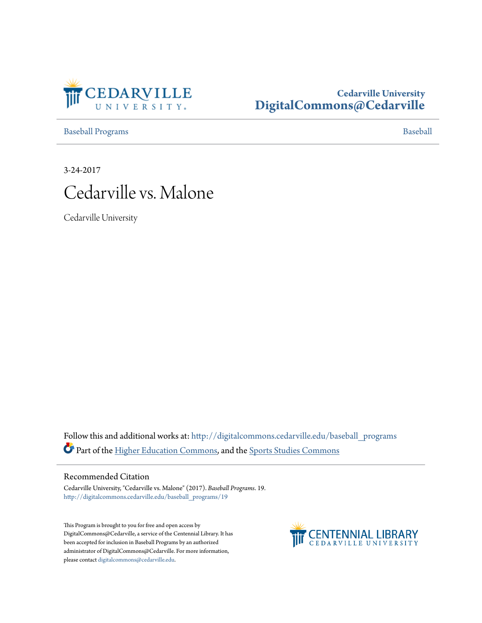

# **Cedarville University [DigitalCommons@Cedarville](http://digitalcommons.cedarville.edu?utm_source=digitalcommons.cedarville.edu%2Fbaseball_programs%2F19&utm_medium=PDF&utm_campaign=PDFCoverPages)**

[Baseball Programs](http://digitalcommons.cedarville.edu/baseball_programs?utm_source=digitalcommons.cedarville.edu%2Fbaseball_programs%2F19&utm_medium=PDF&utm_campaign=PDFCoverPages) **[Baseball](http://digitalcommons.cedarville.edu/baseball?utm_source=digitalcommons.cedarville.edu%2Fbaseball_programs%2F19&utm_medium=PDF&utm_campaign=PDFCoverPages)** 

3-24-2017



Cedarville University

Follow this and additional works at: [http://digitalcommons.cedarville.edu/baseball\\_programs](http://digitalcommons.cedarville.edu/baseball_programs?utm_source=digitalcommons.cedarville.edu%2Fbaseball_programs%2F19&utm_medium=PDF&utm_campaign=PDFCoverPages) Part of the [Higher Education Commons](http://network.bepress.com/hgg/discipline/1245?utm_source=digitalcommons.cedarville.edu%2Fbaseball_programs%2F19&utm_medium=PDF&utm_campaign=PDFCoverPages), and the [Sports Studies Commons](http://network.bepress.com/hgg/discipline/1198?utm_source=digitalcommons.cedarville.edu%2Fbaseball_programs%2F19&utm_medium=PDF&utm_campaign=PDFCoverPages)

## Recommended Citation

Cedarville University, "Cedarville vs. Malone" (2017). *Baseball Programs*. 19. [http://digitalcommons.cedarville.edu/baseball\\_programs/19](http://digitalcommons.cedarville.edu/baseball_programs/19?utm_source=digitalcommons.cedarville.edu%2Fbaseball_programs%2F19&utm_medium=PDF&utm_campaign=PDFCoverPages)

This Program is brought to you for free and open access by DigitalCommons@Cedarville, a service of the Centennial Library. It has been accepted for inclusion in Baseball Programs by an authorized administrator of DigitalCommons@Cedarville. For more information, please contact [digitalcommons@cedarville.edu.](mailto:digitalcommons@cedarville.edu)

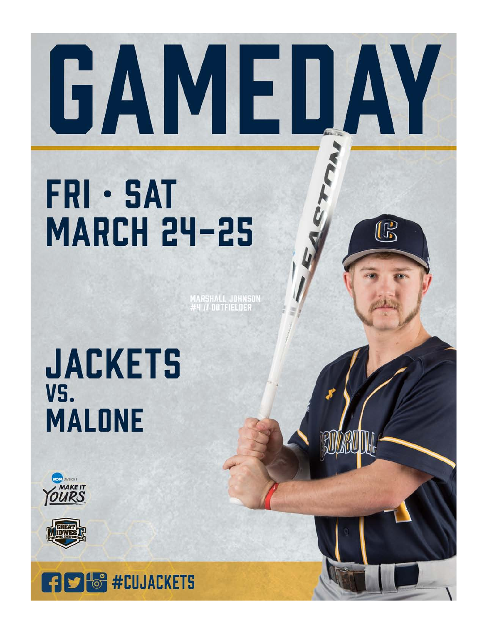# GAMEDAY

 $\mathbb{G}$ 

# **FRI · SAT MARCH 24-25**

IARSHALL JOH<mark>nson</mark><br>†4 *II* Outfielder

# **JACKETS** VS. **MALONE**